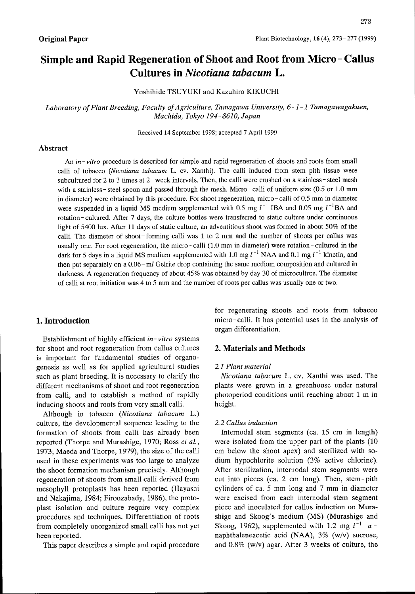# Simple and Rapid Regeneration of Shoot and Root from Micro - Callus Cultures in Nicotiana tabacum L.

Yoshihide TSUYUKI and Kazuhiro KIKUCHI

Laboratory of Plant Breeding, Faculty of Agriculture, Tamagawa University,  $6 - 1 - 1$  Tamagawagakuen, Machida, Tokyo 194-8610, Japan

Received <sup>14</sup> September 1998; accepted 7April 1999

# Abstract

An *in-vitro* procedure is described for simple and rapid regeneration of shoots and roots from small calli of tobacco (Nicotiana tabacum L, cv. Xanthi). The calli induced from stem pith tissue were subcultured for 2 to 3 times at 2- week intervals. Then, the calli were crushed on a stainless-steel mesh with a stainless-steel spoon and passed through the mesh. Micro-calli of uniform size (0.5 or 1.0 mm in diameter) were obtained by this procedure. For shoot regeneration, micro - calli of 0.5 mm in diameter were suspended in a liquid MS medium supplemented with 0.5 mg  $l^{-1}$  IBA and 0.05 mg  $l^{-1}$ BA and 0.05 mg l<sup>-1</sup>BA rotation- cultured. After 7days, the culture bottles were transferred to static culture under continuous light of 5400 Iux. After 11days of static culture, an adventitious shoot was formed in about 50% of the calli, The diameter of shoot-forming calli was I to 2 mm and the number of shoots per callus was usually one. For root regeneration, the micro-calli (1.0 mm in diameter) were rotation-cultured in the dark for 5 days in a liquid MS medium supplemented with 1.0 mg  $l^{-1}$  NAA and 0.1 mg  $l^{-1}$  kinetin, and data for 5 days in a liquid MS medium supplemented with 1.0 mg  $l^{-1}$  NAA and 0.1 mg  $l^{-1}$  kinetin, and then put separately on a 0.06-ml Gelrite drop containing the same medium composition and cultured in darkness. A regeneration frequency of about 45% was obtained by day <sup>30</sup> of microculture. The diameter of calli at root initiation was 4to 5mm and the number of roots per callus was usually one or two.

## l. Introduction

Establishment of highly efficient in-vitro systems for shoot and root regeneration from callus cultures is important for fundamental studies of organogenesis as well as for applied agricultural studies such as plant breeding. It is necessary to clarify the different mechanisms of shoot and root regeneration from calli, and to establish a method of rapidly inducing shoots and roots from very small calli.

Although in tobacco (Nicotiana tabacum L.) culture, the developmental sequence leading to the formation of shoots from calli has already been reported (Thorpe and Murashige, 1970; Ross et al., 1973; Maeda and Thorpe, 1979), the size of the calli used in these experiments was too large to analyze the shoot formation mechanism precisely. Although regeneration of shoots from small calli derived from mesophyll protoplasts has been reported (Hayashi and Nakajima, 1984; Firoozabady, 1986), the protoplast isolation and culture require very complex procedures and techniques. Differentiation of roots from completely unorganized small calli has not yet been reported.

This paper describes a simple and rapid procedure

for regenerating shoots and roots from tobacco micro-calli. It has potential uses in the analysis of organ differentiation.

## 2. Materials and Methods

#### 2.1 Plant material

Nicotiana tabacum L, cv. Xanthi was used. The plants were grown in a greenhouse under natural photoperiod conditions until reaching about 1 m in height.

#### 2.2 Callus induction

Internodal stem segnents (ca. 15 cm in length) were isolated from the upper part of the plants (10 cm below the shoot apex) and sterilized with sodium hypochlorite solution (3% active chlorine). After sterilization, internodal stem segments were cut into pieces (ca. 2 cm long). Then, stem-pith cylinders of ca. 5 mm long and 7 mm in diameter were excised from each intemodal stem segment piece and inoculated for callus induction on Murashige and Skoog's medium (MS) (Murashige and Skoog, 1962), supplemented with 1.2 mg  $l^{-1}$   $\alpha$  naphthaleneacetic acid (NAA), 3% (w/v) sucrose, and  $0.8\%$  (w/v) agar. After 3 weeks of culture, the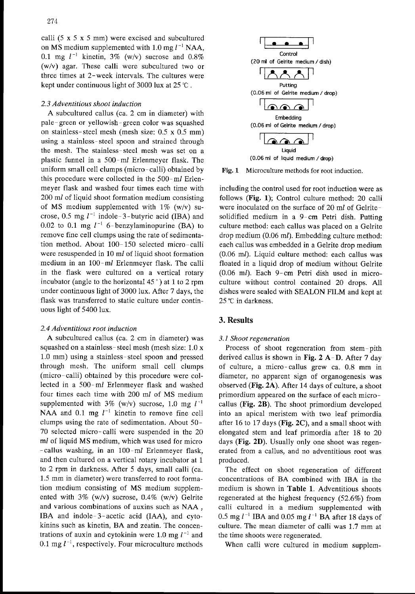calli  $(5 \times 5 \times 5 \text{ mm})$  were excised and subcultured on MS medium supplemented with  $1.0 \text{ mg } l^{-1}$  NAA, 0.1 mg  $l^{-1}$  kinetin, 3% (w/v) sucrose and 0.8% (w/v) agar. These calli were subcultured two or three times at 2-week intervals. The cultures were kept under continuous light of 3000 lux at 25  $^{\circ}$ C.

## 2. 3Adventitious shoot induction

A subcultured callus (ca. 2 cm in diameter) with pale-green or yellowish- green color was squashed on stainless-steel mesh (mesh size:  $0.5 \times 0.5$  mm) using a stainless-steel spoon and strained through the mesh. The stainless-steel mesh was set on a plastic funnel in a 500-ml Erlenmeyer flask. The uniform small cell clumps (micro-calli) obtained by this procedure were collected in the 500-ml Erlenmeyer flask and washed four times each time with 200 ml of liquid shoot formation medium consisting of MS medium supplemented with  $1\%$  (w/v) sucrose, 0.5 mg  $l^{-1}$  indole-3-butyric acid (IBA) and 0.02 to 0.1 mg  $l^{-1}$  6-benzylaminopurine (BA) to remove fine cell clumps using the rate of sedimentation method. About 100-150 selected micro-calli were resuspended in 10 ml of liquid shoot formation medium in an 100-ml Erlenmeyer flask. The calli in the flask were cultured on a vertical rotary incubator (angle to the horizontal  $45^\circ$ ) at 1 to 2 rpm under continuous light of 3000 Iux. After 7days, the flask was transferred to static culture under continuous light of 5400 Iux.

#### 2.4 Adventitious root induction

A subcultured callus (ca. 2 cm in diameter) was squashed on a stainless- steel mesh (mesh size: 1.0 x 1.0 mm) using a stainless-steel spoon and pressed through mesh. The uniform small cell clumps (micro-calli) obtained by this procedure were collected in a 500-ml Erlenmeyer flask and washed four times each time with 200 ml of MS medium supplemented with 3% (w/v) sucrose, 1.0 mg  $l^{-1}$ NAA and 0.1 mg  $l^{-1}$  kinetin to remove fine cell clumps using the rate of sedimentation. About 50- 70 selected micro-calli were suspended in the 20 ml of liquid MS medium, which was used for micro -callus washing, in an 100-ml Erlenmeyer flask, and then cultured on a vertical rotary incubator at 1 to 2 rpm in darkness. After 5 days, small calli (ca. 1.5 mm in diameter) were transferred to root formation medium consisting of MS medium supplemented with  $3\%$  (w/v) sucrose, 0.4% (w/v) Gelrite and various combinations of auxins such as NAA , IBA and indole-3-acetic acid (IAA), and cytokinins such as kinetin, BA and zeatin. The concentrations of auxin and cytokinin were 1.0 mg  $l^{-1}$  and 0.1 mg  $l^{-1}$ , respectively. Four microculture methods



Fig. I Microculture methods for root induction.

including the control used for root induction were as follows (Fig. 1); Control culture method: 20 calli were inoculated on the surface of 20 ml of Gelritesolidified medium in a 9-cm Petri dish. Putting culture method: each callus was placed on a Gelrite drop medium (0.06 ml). Embedding culture method: each callus was embedded in a Gelrite drop medium (O.06 ml). Liquid culture method: each callus was floated in a liquid drop of medium without Gelrite (O.06 ml). Each 9-cm Petri dish used in microculture without control contained 20 drops. All dishes were sealed with SEALON FILM and kept at 25 ℃ in darkness.

# 3. Results

#### 3.1 Shoot regeneration

Process of shoot regeneration from stem-pith derived callus is shown in Fig.  $2 A-D$ . After 7 day of culture, a micro-callus grew ca. 0.8 mm in diameter, no apparent sign of organogenesis was observed (Fig. 2A). After 14 days of culture, a shoot primordium appeared on the surface of each microcallus (Fig. 2B). The shoot primordium developed into an apical meristem with two leaf primordia after 16 to 17 days (**Fig. 2C**), and a small shoot with elongated stem and leaf primordia after 18 to 20 days (Fig. 2D). Usually only one shoot was regenerated from a callus, and no adventitious root was produced.

The effect on shoot regeneration of different concentrations of BA combined with IBA in the medium is shown in Table 1. Adventitious shoots regenerated at the highest frequency (52.6%) from calli cultured in a medium supplemented with 0.5 mg  $l^{-1}$  IBA and 0.05 mg  $l^{-1}$  BA after 18 days of culture. The mean diameter of calli was 1.7 mm at the time shoots were regenerated.

When calli were cultured in medium supplem-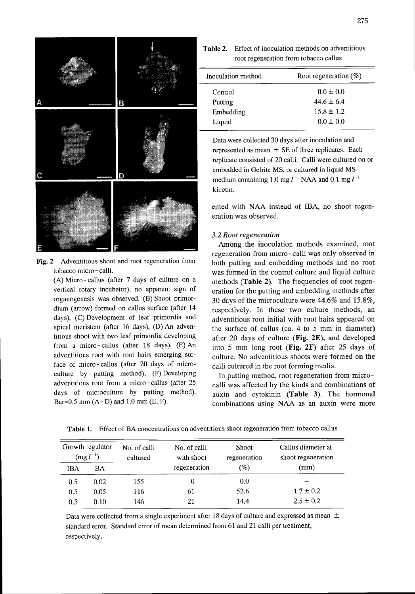

Fig. 2 Adventitious shoot and root regeneration from tobacco micro - calli .

(A) Micro-callus (after 7 days of culture on a vertical rotary incubator), no apparent sign of organogenesis was observed. (B) Shoot primordium (arrow) formed on callus surface (after 14 days), (C) Development of leaf primordia and apical meristem (after 16 days), (D) An adventitious shoot with two leaf primordia developing from a micro-callus (after 18 days), (E) An adventitious root with root hairs emerging surface of micro-callus (after 20 days of microculture by putting method), (F) Developing adventitious root from a micro - callus (after 25 days of microculture by putting method). Bar=0.5 mm  $(A-D)$  and 1.0 mm  $(E, F)$ .

Table 2. Effect of inoculation methods on adventitious root regeneration from tobacco callus

| Root regeneration (%) |  |
|-----------------------|--|
| $0.0 \pm 0.0$         |  |
| $44.6 \pm 6.4$        |  |
| $15.8 \pm 1.2$        |  |
| $0.0 \pm 0.0$         |  |
|                       |  |

Data were collected 30 days after inoculation and represented as mean  $\pm$  SE of three replicates. Each replicate consisted of 20 calli. Calli were cultured on or embedded in Gelrite MS, or cultured in liquid MS medium containing  $1.0 \text{ mg } l^{-1}$  NAA and  $0.1 \text{ mg } l^{-1}$ kinetin.

ented with NAA instead of IBA, no shoot regeneration was observed.

## 3. 2Root regeneration

Among the inoculation methods examined, root regeneration from micro- calli was only observed in both putting and embedding methods and no root was formed in the control culture and liquid culture methods (Table 2). The frequencies of root regeneration for the putting and embedding methods after 30 days of the microculture were 44.6% and 15.8%, respectively. In these two culture methods, an adventitious root initial with root hairs appeared on the surface of callus (ca. 4 to 5 mm in diameter) after 20 days of culture (Fig. 2E), and developed into 5 mm long root (Fig. 2F) after <sup>25</sup> days of culture. No adventitious shoots were formed on the calli cultured in the root forming media.

In putting method, root regeneration from microcalli was affected by the kinds and combinations of auxin and cytokinin (Table 3). The hormonal combinations using NAA as an auxin were more

| $\log l^{-1}$ | Growth regulator | No. of calli<br>cultured | No. of calli<br>with shoot | <b>Shoot</b><br>regeneration | Callus diameter at<br>shoot regeneration |
|---------------|------------------|--------------------------|----------------------------|------------------------------|------------------------------------------|
| IBA           | BA               |                          | regeneration               | (%)                          | (mm)                                     |
| 0.5           | 0.02             | 155                      | 0                          | 0.0                          |                                          |
| 0.5           | 0.05             | 116                      | 61                         | 52.6                         | $1.7 \pm 0.2$                            |
| $0.5\,$       | 0.10             | 146                      | 21                         | 14.4                         | $2.5 \pm 0.2$                            |

Table 1. Effect of BA concentrations on adventitious shoot regeneration frorn tobacco callus

Data were collected from a single experiment after 18 days of culture and expressed as mean  $\pm$ standard error. Standard error of mean determined from 61 and 21 calli per treatment, respectively.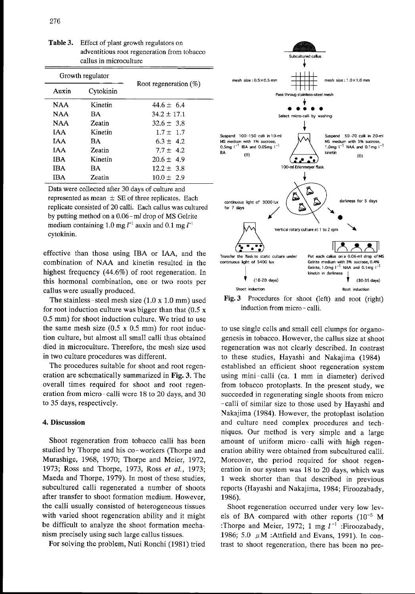|            | Growth regulator | Root regeneration $(\%)$ |  |  |  |
|------------|------------------|--------------------------|--|--|--|
| Auxin      | Cytokinin        |                          |  |  |  |
| NAA.       | Kinetin          | 44.6 $\pm$ 6.4           |  |  |  |
| <b>NAA</b> | BA               | $34.2 \pm 17.1$          |  |  |  |
| <b>NAA</b> | Zeatin           | $32.6 \pm 3.8$           |  |  |  |
| IAA.       | Kinetin          | $1.7 \pm 1.7$            |  |  |  |
| <b>TAA</b> | ВA               | $6.3 \pm 4.2$            |  |  |  |
| <b>TAA</b> | Zeatin           | $7.7 \pm 4.2$            |  |  |  |
| IBA        | Kinetin          | $20.6 \pm 4.9$           |  |  |  |
| IBA        | ВA               | $12.2 \pm 3.8$           |  |  |  |

Zeatin

Table 3. Effect of plant growth regulators on adventitious root regeneration from tobacco callus in microculture

Data were collected after 30 days of culture and represented as mean  $\pm$  SE of three replicates. Each replicate consisted of 20 calli. Each callus was cultured by putting method on a 0.06-ml drop of MS Gelrite medium containing 1.0 mg  $l^{-1}$  auxin and 0.1 mg  $l^{-1}$ cytokinin.

 $10.0 \pm 2.9$ 

effective than those using IBA or IAA, and the combination of NAA and kinetin resulted in the highest frequency (44.6%) of root regeneration. In this hormonal combination, one or two roots per callus were usually produced.

The stainless-steel mesh size  $(1.0 \times 1.0 \text{ mm})$  used for root induction culture was bigger than that  $(0.5 \times$ 0.5 mm) for shoot induction culture. We tried to use the same mesh size  $(0.5 \times 0.5 \text{ mm})$  for root induction culture, but almost all small calli thus obtained died in microculture. Therefore, the mesh size used in two culture procedures was different.

The procedures suitable for shoot and root regeneration are schematically summarized in Fig. 3. The overall times required for shoot and root regeneration from micro-calli were 18 to 20 days, and 30 to 35 days, respectively.

## 4. Discussion

Shoot regeneration from tobacco calli has been studied by Thorpe and his co-workers (Thorpe and Murashige, 1968, 1970; Thorpe and Meier, 1972, 1973; Ross and Thorpe, 1973, Ross et al., 1973; Maeda and Thorpe, 1979). In most of these studies, subcultured calli regenerated a number of shoots after transfer to shoot formation medium. However, the calli usually consisted of heterogeneous tissues with varied shoot regeneration ability and it might be difficult to analyze the shoot formation mechanism precisely using such large callus tissues.

For solving the problem, Nuti Ronchi (1981) tried



Fig. 3 Procedures for shoot (left) and root (right) induction from micro - calli.

to use single cells and small cell clumps for organogenesis in tobacco. However, the callus size at shoot regeneration was not clearly described. In contrast to these studies, Hayashi and Nakajima (1984) established an efficient shoot regeneration system using mini-calli (ca. I mm in diameter) derived from tobacco protoplasts. In the present study, we succeeded in regenerating single shoots from micro -calli of similar size to those used by Hayashi and Nakajima (1984). However, the protoplast isolation and culture need complex procedures and techniques. Our method is very simple and a large amount of uniform micro-calli with high regeneration ability were obtained from subcultured calli. Moreover, the period required for shoot regeneration in our system was 18 to 20 days, which was 1 week shorter than that described in previous reports (Hayashi and Nakajima, 1984; Firoozabady, 1986).

Shoot regeneration occurred under very low levels of BA compared with other reports (10-5 M :Thorpe and Meier, 1972; 1 mg  $l^{-1}$  :Firoozabady, 1986; 5.0  $\mu$ M :Attfield and Evans, 1991). In contrast to shoot regeneration, there has been no pre-

IBA